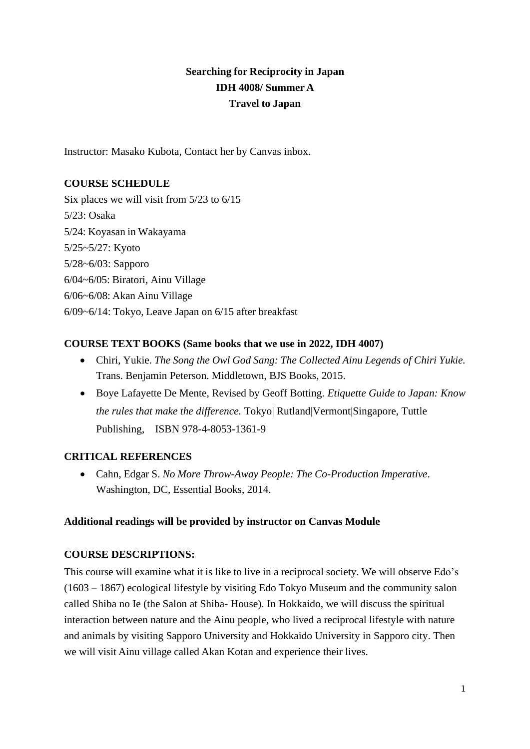# **Searching for Reciprocity in Japan IDH 4008/ Summer A Travel to Japan**

Instructor: Masako Kubota, Contact her by Canvas inbox.

## **COURSE SCHEDULE**

Six places we will visit from 5/23 to 6/15 5/23: Osaka 5/24: Koyasan in Wakayama 5/25~5/27: Kyoto 5/28~6/03: Sapporo 6/04~6/05: Biratori, Ainu Village 6/06~6/08: Akan Ainu Village 6/09~6/14: Tokyo, Leave Japan on 6/15 after breakfast

## **COURSE TEXT BOOKS (Same books that we use in 2022, IDH 4007)**

- Chiri, Yukie. *The Song the Owl God Sang: The Collected Ainu Legends of Chiri Yukie.* Trans. Benjamin Peterson. Middletown, BJS Books, 2015.
- Boye Lafayette De Mente, Revised by Geoff Botting. *Etiquette Guide to Japan: Know the rules that make the difference.* Tokyo| Rutland|Vermont|Singapore, Tuttle Publishing, ISBN 978-4-8053-1361-9

# **CRITICAL REFERENCES**

• Cahn, Edgar S. *No More Throw-Away People: The Co-Production Imperative*. Washington, DC, Essential Books, 2014.

### **Additional readings will be provided by instructor on Canvas Module**

### **COURSE DESCRIPTIONS:**

This course will examine what it is like to live in a reciprocal society. We will observe Edo's (1603 – 1867) ecological lifestyle by visiting Edo Tokyo Museum and the community salon called Shiba no Ie (the Salon at Shiba- House). In Hokkaido, we will discuss the spiritual interaction between nature and the Ainu people, who lived a reciprocal lifestyle with nature and animals by visiting Sapporo University and Hokkaido University in Sapporo city. Then we will visit Ainu village called Akan Kotan and experience their lives.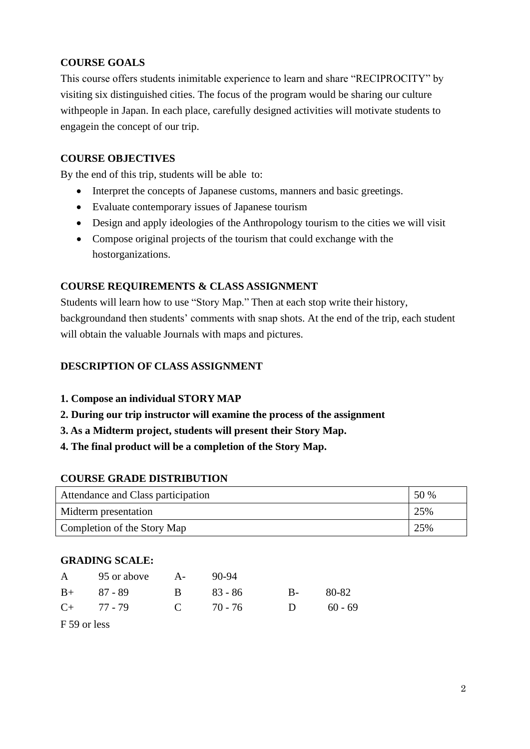# **COURSE GOALS**

This course offers students inimitable experience to learn and share "RECIPROCITY" by visiting six distinguished cities. The focus of the program would be sharing our culture withpeople in Japan. In each place, carefully designed activities will motivate students to engagein the concept of our trip.

# **COURSE OBJECTIVES**

By the end of this trip, students will be able to:

- Interpret the concepts of Japanese customs, manners and basic greetings.
- Evaluate contemporary issues of Japanese tourism
- Design and apply ideologies of the Anthropology tourism to the cities we will visit
- Compose original projects of the tourism that could exchange with the hostorganizations.

# **COURSE REQUIREMENTS & CLASS ASSIGNMENT**

Students will learn how to use "Story Map." Then at each stop write their history, backgroundand then students' comments with snap shots. At the end of the trip, each student will obtain the valuable Journals with maps and pictures.

# **DESCRIPTION OF CLASS ASSIGNMENT**

- **1. Compose an individual STORY MAP**
- **2. During our trip instructor will examine the process of the assignment**
- **3. As a Midterm project, students will present their Story Map.**
- **4. The final product will be a completion of the Story Map.**

### **COURSE GRADE DISTRIBUTION**

| Attendance and Class participation |     |  |  |
|------------------------------------|-----|--|--|
| Midterm presentation               | 25% |  |  |
| Completion of the Story Map        | 25% |  |  |

### **GRADING SCALE:**

| A               | 95 or above A-               |           | - 90-94 |      |           |
|-----------------|------------------------------|-----------|---------|------|-----------|
|                 | $B+ 87 - 89$<br>$\mathbf{B}$ |           | 83 - 86 | $B-$ | 80-82     |
| $C_{+}$ 77 - 79 |                              | C $70-76$ |         | D    | $60 - 69$ |

F 59 or less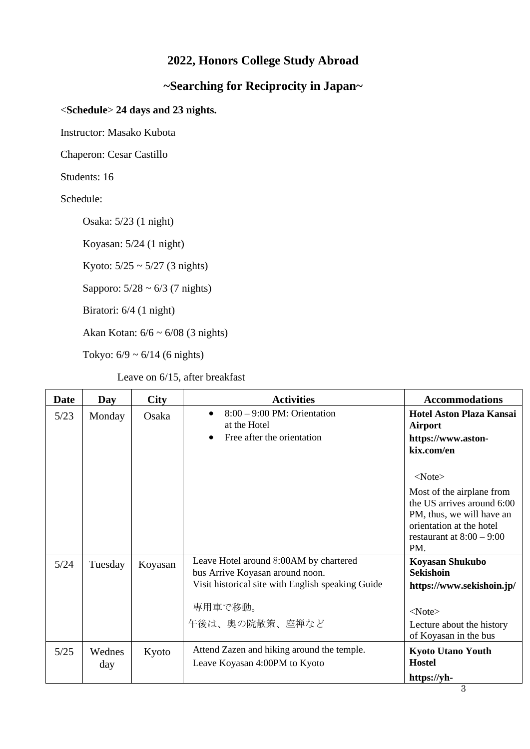# **2022, Honors College Study Abroad**

# **~Searching for Reciprocity in Japan~**

## <**Schedule**> **24 days and 23 nights.**

Instructor: Masako Kubota

Chaperon: Cesar Castillo

Students: 16

Schedule:

Osaka: 5/23 (1 night)

Koyasan: 5/24 (1 night)

Kyoto:  $5/25 \sim 5/27$  (3 nights)

Sapporo:  $5/28 \sim 6/3$  (7 nights)

Biratori: 6/4 (1 night)

Akan Kotan: 6/6 ~ 6/08 (3 nights)

Tokyo:  $6/9 \sim 6/14$  (6 nights)

Leave on 6/15, after breakfast

| Date   | Day           | <b>City</b> | <b>Activities</b>                                                                                                                                           | <b>Accommodations</b>                                                                                                                                                                                                                                           |
|--------|---------------|-------------|-------------------------------------------------------------------------------------------------------------------------------------------------------------|-----------------------------------------------------------------------------------------------------------------------------------------------------------------------------------------------------------------------------------------------------------------|
| $5/23$ | Monday        | Osaka       | $8:00 - 9:00$ PM: Orientation<br>at the Hotel<br>Free after the orientation                                                                                 | <b>Hotel Aston Plaza Kansai</b><br><b>Airport</b><br>https://www.aston-<br>kix.com/en<br>$<$ Note $>$<br>Most of the airplane from<br>the US arrives around 6:00<br>PM, thus, we will have an<br>orientation at the hotel<br>restaurant at $8:00 - 9:00$<br>PM. |
| 5/24   | Tuesday       | Koyasan     | Leave Hotel around 8:00AM by chartered<br>bus Arrive Koyasan around noon.<br>Visit historical site with English speaking Guide<br>専用車で移動。<br>午後は、奥の院散策、座禅など | Koyasan Shukubo<br><b>Sekishoin</b><br>https://www.sekishoin.jp/<br>$<$ Note $>$<br>Lecture about the history<br>of Koyasan in the bus                                                                                                                          |
| $5/25$ | Wednes<br>day | Kyoto       | Attend Zazen and hiking around the temple.<br>Leave Koyasan 4:00PM to Kyoto                                                                                 | <b>Kyoto Utano Youth</b><br><b>Hostel</b><br>https://yh-                                                                                                                                                                                                        |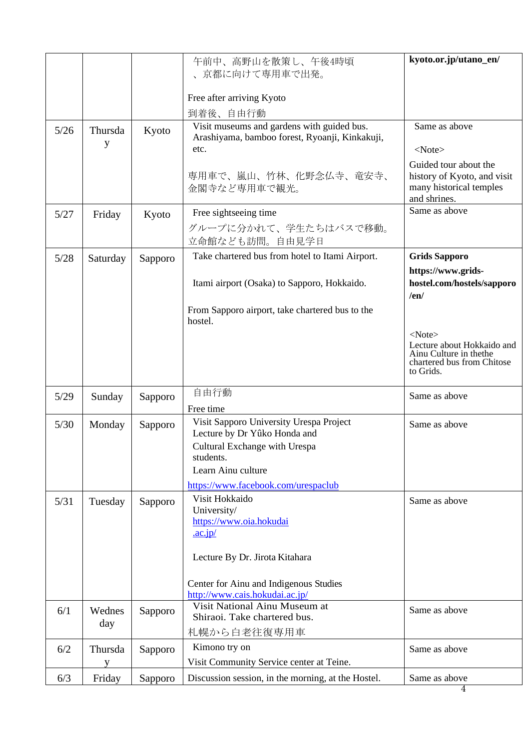|        |               |         | 午前中、高野山を散策し、午後4時頃<br>京都に向けて専用車で出発。<br>Free after arriving Kyoto<br>到着後、自由行動                                                             | kyoto.or.jp/utano_en/                                                                                            |
|--------|---------------|---------|-----------------------------------------------------------------------------------------------------------------------------------------|------------------------------------------------------------------------------------------------------------------|
| $5/26$ | Thursda       | Kyoto   | Visit museums and gardens with guided bus.<br>Arashiyama, bamboo forest, Ryoanji, Kinkakuji,                                            | Same as above                                                                                                    |
|        | y             |         | etc.                                                                                                                                    | $<$ Note $>$                                                                                                     |
|        |               |         | 専用車で、嵐山、竹林、化野念仏寺、竜安寺、<br>金閣寺など専用車で観光。                                                                                                   | Guided tour about the<br>history of Kyoto, and visit<br>many historical temples<br>and shrines.                  |
| 5/27   | Friday        | Kyoto   | Free sightseeing time                                                                                                                   | Same as above                                                                                                    |
|        |               |         | グループに分かれて、学生たちはバスで移動。<br>立命館なども訪問。自由見学日                                                                                                 |                                                                                                                  |
| 5/28   | Saturday      | Sapporo | Take chartered bus from hotel to Itami Airport.                                                                                         | <b>Grids Sapporo</b>                                                                                             |
|        |               |         | Itami airport (Osaka) to Sapporo, Hokkaido.                                                                                             | https://www.grids-<br>hostel.com/hostels/sapporo<br>/en/                                                         |
|        |               |         | From Sapporo airport, take chartered bus to the<br>hostel.                                                                              |                                                                                                                  |
|        |               |         |                                                                                                                                         | $<$ Note $>$<br>Lecture about Hokkaido and<br>Ainu Culture in the the<br>chartered bus from Chitose<br>to Grids. |
| 5/29   | Sunday        | Sapporo | 自由行動                                                                                                                                    | Same as above                                                                                                    |
|        |               |         | Free time<br>Visit Sapporo University Urespa Project                                                                                    |                                                                                                                  |
| 5/30   | Monday        | Sapporo | Lecture by Dr Yûko Honda and<br>Cultural Exchange with Urespa<br>students.<br>Learn Ainu culture<br>https://www.facebook.com/urespaclub | Same as above                                                                                                    |
| 5/31   | Tuesday       | Sapporo | Visit Hokkaido                                                                                                                          | Same as above                                                                                                    |
|        |               |         | University/<br>https://www.oia.hokudai<br>$\cdot$ ac.jp/                                                                                |                                                                                                                  |
|        |               |         | Lecture By Dr. Jirota Kitahara                                                                                                          |                                                                                                                  |
|        |               |         | Center for Ainu and Indigenous Studies<br>http://www.cais.hokudai.ac.jp/                                                                |                                                                                                                  |
| 6/1    | Wednes<br>day | Sapporo | Visit National Ainu Museum at<br>Shiraoi. Take chartered bus.                                                                           | Same as above                                                                                                    |
|        |               |         | 札幌から白老往復専用車                                                                                                                             |                                                                                                                  |
| 6/2    | Thursda<br>y  | Sapporo | Kimono try on<br>Visit Community Service center at Teine.                                                                               | Same as above                                                                                                    |
| 6/3    | Friday        | Sapporo | Discussion session, in the morning, at the Hostel.                                                                                      | Same as above                                                                                                    |
|        |               |         |                                                                                                                                         | 4                                                                                                                |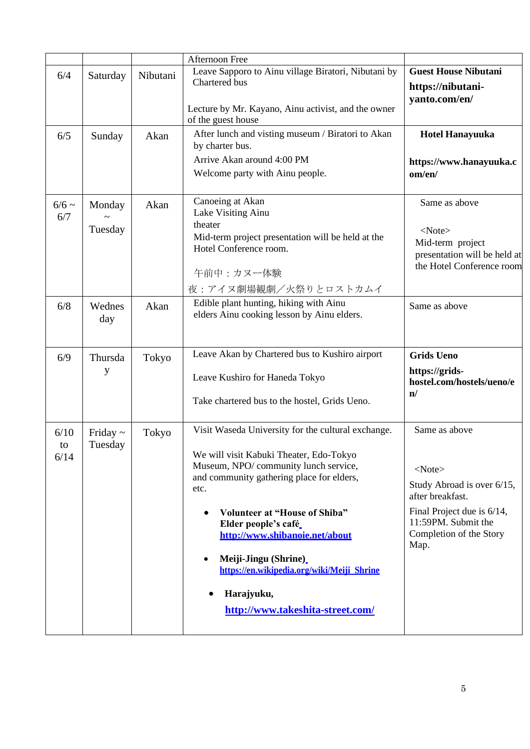|                    |                          |          | <b>Afternoon Free</b>                                                                                                                                                                                                                                                                                                                                                                                                     |                                                                                                                                                                         |
|--------------------|--------------------------|----------|---------------------------------------------------------------------------------------------------------------------------------------------------------------------------------------------------------------------------------------------------------------------------------------------------------------------------------------------------------------------------------------------------------------------------|-------------------------------------------------------------------------------------------------------------------------------------------------------------------------|
| 6/4                | Saturday                 | Nibutani | Leave Sapporo to Ainu village Biratori, Nibutani by<br>Chartered bus<br>Lecture by Mr. Kayano, Ainu activist, and the owner                                                                                                                                                                                                                                                                                               | <b>Guest House Nibutani</b><br>https://nibutani-<br>yanto.com/en/                                                                                                       |
| 6/5                | Sunday                   | Akan     | of the guest house<br>After lunch and visting museum / Biratori to Akan<br>by charter bus.<br>Arrive Akan around 4:00 PM<br>Welcome party with Ainu people.                                                                                                                                                                                                                                                               | <b>Hotel Hanayuuka</b><br>https://www.hanayuuka.c<br>om/en/                                                                                                             |
| $6/6 \sim$<br>6/7  | Monday<br>Tuesday        | Akan     | Canoeing at Akan<br>Lake Visiting Ainu<br>theater<br>Mid-term project presentation will be held at the<br>Hotel Conference room.<br>午前中:カヌー体験<br>夜:アイヌ劇場観劇/火祭りとロストカムイ                                                                                                                                                                                                                                                     | Same as above<br>$<$ Note $>$<br>Mid-term project<br>presentation will be held at<br>the Hotel Conference room                                                          |
| 6/8                | Wednes<br>day            | Akan     | Edible plant hunting, hiking with Ainu<br>elders Ainu cooking lesson by Ainu elders.                                                                                                                                                                                                                                                                                                                                      | Same as above                                                                                                                                                           |
| 6/9                | Thursda<br>у             | Tokyo    | Leave Akan by Chartered bus to Kushiro airport<br>Leave Kushiro for Haneda Tokyo<br>Take chartered bus to the hostel, Grids Ueno.                                                                                                                                                                                                                                                                                         | <b>Grids Ueno</b><br>https://grids-<br>hostel.com/hostels/ueno/e<br>$\mathbf{n}/$                                                                                       |
| 6/10<br>to<br>6/14 | Friday $\sim$<br>Tuesday | Tokyo    | Visit Waseda University for the cultural exchange.<br>We will visit Kabuki Theater, Edo-Tokyo<br>Museum, NPO/ community lunch service,<br>and community gathering place for elders,<br>etc.<br><b>Volunteer at "House of Shiba"</b><br>Elder people's café<br>http://www.shibanoie.net/about<br>Meiji-Jingu (Shrine)<br>https://en.wikipedia.org/wiki/Meiji Shrine<br>Harajyuku,<br>٠<br>http://www.takeshita-street.com/ | Same as above<br>$<$ Note $>$<br>Study Abroad is over 6/15,<br>after breakfast.<br>Final Project due is 6/14,<br>11:59PM. Submit the<br>Completion of the Story<br>Map. |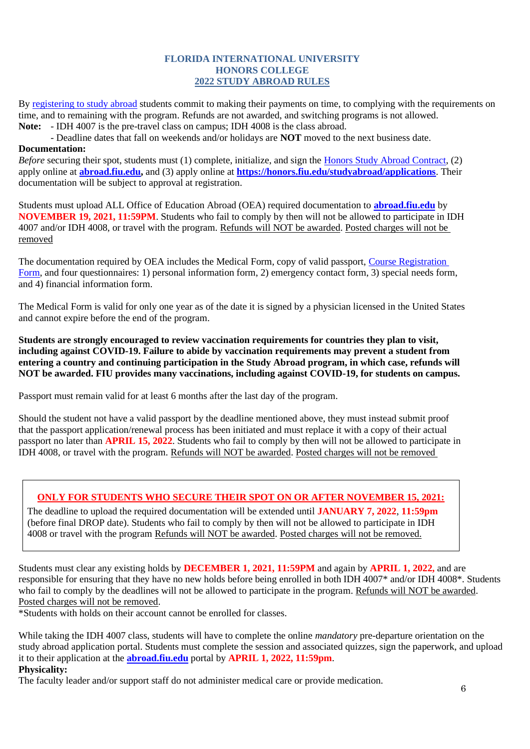#### **FLORIDA INTERNATIONAL UNIVERSITY HONORS COLLEGE 2022 STUDY ABROAD RULES**

By [registering to study abroad](https://honors.fiu.edu/studyabroad/instructions-to-register) students commit to making their payments on time, to complying with the requirements on time, and to remaining with the program. Refunds are not awarded, and switching programs is not allowed.

**Note:** - IDH 4007 is the pre-travel class on campus; IDH 4008 is the class abroad.

- Deadline dates that fall on weekends and/or holidays are **NOT** moved to the next business date.

### **Documentation:**

*Before* securing their spot, students must (1) complete, initialize, and sign the [Honors Study Abroad Contract,](file:///C:/Users/Masako/Downloads/honors.fiu.edu/studyabroad/contract) (2) apply online at **[abroad.fiu.edu,](https://abroad.fiu.edu/index.cfm?FuseAction=Programs.AdvancedSearch)** and (3) apply online at **<https://honors.fiu.edu/studyabroad/applications>**. Their documentation will be subject to approval at registration.

Students must upload ALL Office of Education Abroad (OEA) required documentation to **[abroad.fiu.edu](https://abroad.fiu.edu/index.cfm?FuseAction=Programs.AdvancedSearch)** by **NOVEMBER 19, 2021, 11:59PM**. Students who fail to comply by then will not be allowed to participate in IDH 4007 and/or IDH 4008, or travel with the program. Refunds will NOT be awarded. Posted charges will not be removed

The documentation required by OEA includes the Medical Form, copy of valid passport, [Course Registration](https://honors.fiu.edu/studyabroad/crf)  [Form,](https://honors.fiu.edu/studyabroad/crf) and four questionnaires: 1) personal information form, 2) emergency contact form, 3) special needs form, and 4) financial information form.

The Medical Form is valid for only one year as of the date it is signed by a physician licensed in the United States and cannot expire before the end of the program.

**Students are strongly encouraged to review vaccination requirements for countries they plan to visit, including against COVID-19. Failure to abide by vaccination requirements may prevent a student from entering a country and continuing participation in the Study Abroad program, in which case, refunds will NOT be awarded. FIU provides many vaccinations, including against COVID-19, for students on campus.** 

Passport must remain valid for at least 6 months after the last day of the program.

Should the student not have a valid passport by the deadline mentioned above, they must instead submit proof that the passport application/renewal process has been initiated and must replace it with a copy of their actual passport no later than **APRIL 15, 2022**. Students who fail to comply by then will not be allowed to participate in IDH 4008, or travel with the program. Refunds will NOT be awarded. Posted charges will not be removed

### **ONLY FOR STUDENTS WHO SECURE THEIR SPOT ON OR AFTER NOVEMBER 15, 2021:**

The deadline to upload the required documentation will be extended until **JANUARY 7, 2022, 11:59pm** (before final DROP date). Students who fail to comply by then will not be allowed to participate in IDH 4008 or travel with the program Refunds will NOT be awarded. Posted charges will not be removed.

Students must clear any existing holds by **DECEMBER 1, 2021, 11:59PM** and again by **APRIL 1, 2022,** and are responsible for ensuring that they have no new holds before being enrolled in both IDH 4007\* and/or IDH 4008\*. Students who fail to comply by the deadlines will not be allowed to participate in the program. Refunds will NOT be awarded. Posted charges will not be removed.

\*Students with holds on their account cannot be enrolled for classes.

While taking the IDH 4007 class, students will have to complete the online *mandatory* pre-departure orientation on the study abroad application portal. Students must complete the session and associated quizzes, sign the paperwork, and upload it to their application at the **[abroad.fiu.edu](https://abroad.fiu.edu/index.cfm?FuseAction=Programs.AdvancedSearch)** portal by **APRIL 1, 2022, 11:59pm**.

## **Physicality:**

The faculty leader and/or support staff do not administer medical care or provide medication.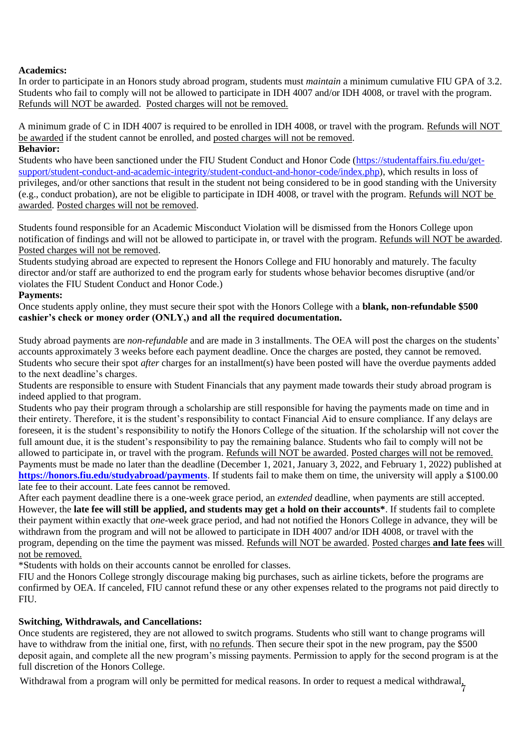### **Academics:**

In order to participate in an Honors study abroad program, students must *maintain* a minimum cumulative FIU GPA of 3.2. Students who fail to comply will not be allowed to participate in IDH 4007 and/or IDH 4008, or travel with the program. Refunds will NOT be awarded. Posted charges will not be removed.

A minimum grade of C in IDH 4007 is required to be enrolled in IDH 4008, or travel with the program. Refunds will NOT be awarded if the student cannot be enrolled, and posted charges will not be removed.

### **Behavior:**

Students who have been sanctioned under the FIU Student Conduct and Honor Code [\(https://studentaffairs.fiu.edu/get](https://studentaffairs.fiu.edu/get-support/student-conduct-and-academic-integrity/student-conduct-and-honor-code/index.php)[support/student-conduct-and-academic-integrity/student-conduct-and-honor-code/index.php\)](https://studentaffairs.fiu.edu/get-support/student-conduct-and-academic-integrity/student-conduct-and-honor-code/index.php), which results in loss of privileges, and/or other sanctions that result in the student not being considered to be in good standing with the University (e.g., conduct probation), are not be eligible to participate in IDH 4008, or travel with the program. Refunds will NOT be awarded. Posted charges will not be removed.

Students found responsible for an Academic Misconduct Violation will be dismissed from the Honors College upon notification of findings and will not be allowed to participate in, or travel with the program. Refunds will NOT be awarded. Posted charges will not be removed.

Students studying abroad are expected to represent the Honors College and FIU honorably and maturely. The faculty director and/or staff are authorized to end the program early for students whose behavior becomes disruptive (and/or violates the FIU Student Conduct and Honor Code.)

#### **Payments:**

Once students apply online, they must secure their spot with the Honors College with a **blank, non-refundable \$500 cashier's check or money order (ONLY,) and all the required documentation.**

Study abroad payments are *non-refundable* and are made in 3 installments. The OEA will post the charges on the students' accounts approximately 3 weeks before each payment deadline. Once the charges are posted, they cannot be removed. Students who secure their spot *after* charges for an installment(s) have been posted will have the overdue payments added to the next deadline's charges.

Students are responsible to ensure with Student Financials that any payment made towards their study abroad program is indeed applied to that program.

Students who pay their program through a scholarship are still responsible for having the payments made on time and in their entirety. Therefore, it is the student's responsibility to contact Financial Aid to ensure compliance. If any delays are foreseen, it is the student's responsibility to notify the Honors College of the situation. If the scholarship will not cover the full amount due, it is the student's responsibility to pay the remaining balance. Students who fail to comply will not be allowed to participate in, or travel with the program. Refunds will NOT be awarded. Posted charges will not be removed. Payments must be made no later than the deadline (December 1, 2021, January 3, 2022, and February 1, 2022) published at **<https://honors.fiu.edu/studyabroad/payments>**. If students fail to make them on time, the university will apply a \$100.00 late fee to their account. Late fees cannot be removed.

After each payment deadline there is a one-week grace period, an *extended* deadline, when payments are still accepted. However, the **late fee will still be applied, and students may get a hold on their accounts\***. If students fail to complete their payment within exactly that *one*-week grace period, and had not notified the Honors College in advance, they will be withdrawn from the program and will not be allowed to participate in IDH 4007 and/or IDH 4008, or travel with the program, depending on the time the payment was missed. Refunds will NOT be awarded. Posted charges **and late fees** will not be removed.

\*Students with holds on their accounts cannot be enrolled for classes.

FIU and the Honors College strongly discourage making big purchases, such as airline tickets, before the programs are confirmed by OEA. If canceled, FIU cannot refund these or any other expenses related to the programs not paid directly to FIU.

#### **Switching, Withdrawals, and Cancellations:**

Once students are registered, they are not allowed to switch programs. Students who still want to change programs will have to withdraw from the initial one, first, with no refunds. Then secure their spot in the new program, pay the \$500 deposit again, and complete all the new program's missing payments. Permission to apply for the second program is at the full discretion of the Honors College.

Withdrawal from a program will only be permitted for medical reasons. In order to request a medical withdrawal,